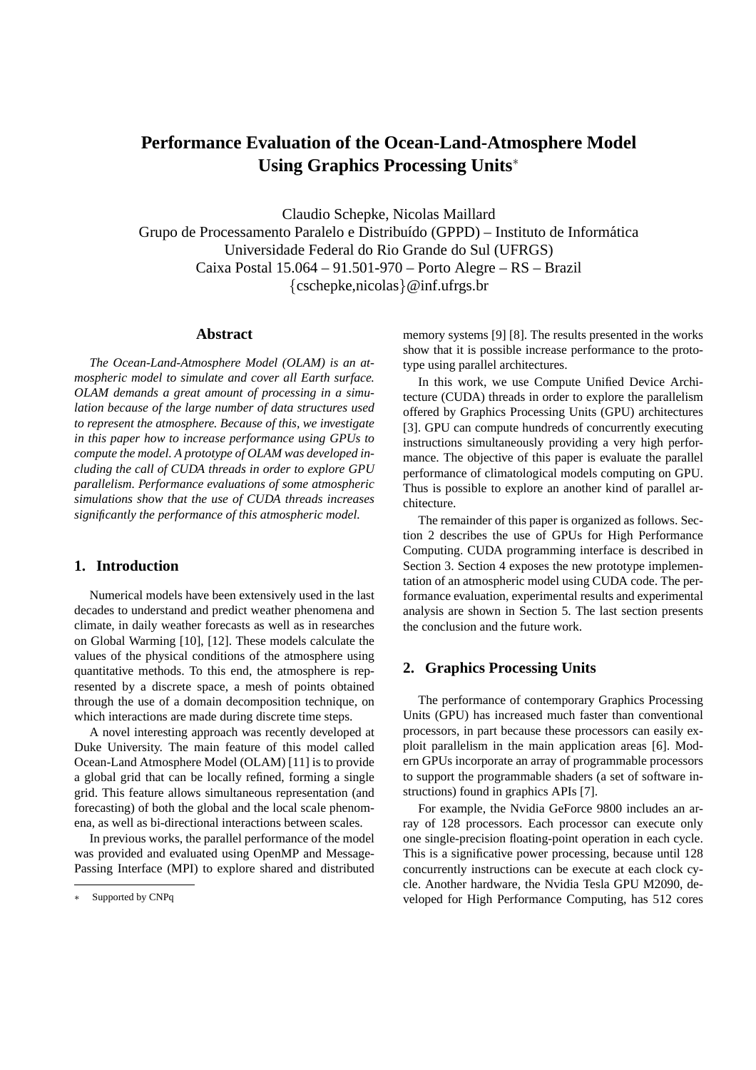# **Performance Evaluation of the Ocean-Land-Atmosphere Model Using Graphics Processing Units**<sup>∗</sup>

Claudio Schepke, Nicolas Maillard Grupo de Processamento Paralelo e Distribuído (GPPD) – Instituto de Informática Universidade Federal do Rio Grande do Sul (UFRGS) Caixa Postal 15.064 – 91.501-970 – Porto Alegre – RS – Brazil {cschepke,nicolas}@inf.ufrgs.br

#### **Abstract**

*The Ocean-Land-Atmosphere Model (OLAM) is an atmospheric model to simulate and cover all Earth surface. OLAM demands a great amount of processing in a simulation because of the large number of data structures used to represent the atmosphere. Because of this, we investigate in this paper how to increase performance using GPUs to compute the model. A prototype of OLAM was developed including the call of CUDA threads in order to explore GPU parallelism. Performance evaluations of some atmospheric simulations show that the use of CUDA threads increases significantly the performance of this atmospheric model.*

# **1. Introduction**

Numerical models have been extensively used in the last decades to understand and predict weather phenomena and climate, in daily weather forecasts as well as in researches on Global Warming [10], [12]. These models calculate the values of the physical conditions of the atmosphere using quantitative methods. To this end, the atmosphere is represented by a discrete space, a mesh of points obtained through the use of a domain decomposition technique, on which interactions are made during discrete time steps.

A novel interesting approach was recently developed at Duke University. The main feature of this model called Ocean-Land Atmosphere Model (OLAM) [11] is to provide a global grid that can be locally refined, forming a single grid. This feature allows simultaneous representation (and forecasting) of both the global and the local scale phenomena, as well as bi-directional interactions between scales.

In previous works, the parallel performance of the model was provided and evaluated using OpenMP and Message-Passing Interface (MPI) to explore shared and distributed memory systems [9] [8]. The results presented in the works show that it is possible increase performance to the prototype using parallel architectures.

In this work, we use Compute Unified Device Architecture (CUDA) threads in order to explore the parallelism offered by Graphics Processing Units (GPU) architectures [3]. GPU can compute hundreds of concurrently executing instructions simultaneously providing a very high performance. The objective of this paper is evaluate the parallel performance of climatological models computing on GPU. Thus is possible to explore an another kind of parallel architecture.

The remainder of this paper is organized as follows. Section 2 describes the use of GPUs for High Performance Computing. CUDA programming interface is described in Section 3. Section 4 exposes the new prototype implementation of an atmospheric model using CUDA code. The performance evaluation, experimental results and experimental analysis are shown in Section 5. The last section presents the conclusion and the future work.

## **2. Graphics Processing Units**

The performance of contemporary Graphics Processing Units (GPU) has increased much faster than conventional processors, in part because these processors can easily exploit parallelism in the main application areas [6]. Modern GPUs incorporate an array of programmable processors to support the programmable shaders (a set of software instructions) found in graphics APIs [7].

For example, the Nvidia GeForce 9800 includes an array of 128 processors. Each processor can execute only one single-precision floating-point operation in each cycle. This is a significative power processing, because until 128 concurrently instructions can be execute at each clock cycle. Another hardware, the Nvidia Tesla GPU M2090, developed for High Performance Computing, has 512 cores

Supported by CNPq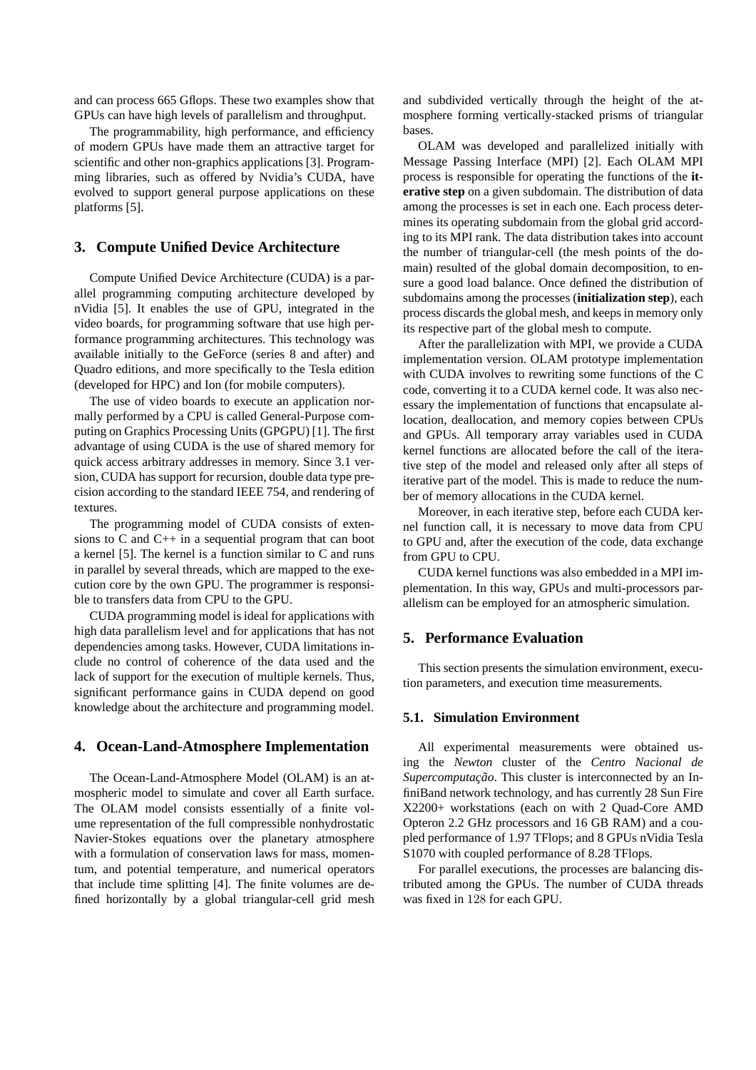and can process 665 Gflops. These two examples show that GPUs can have high levels of parallelism and throughput.

The programmability, high performance, and efficiency of modern GPUs have made them an attractive target for scientific and other non-graphics applications [3]. Programming libraries, such as offered by Nvidia's CUDA, have evolved to support general purpose applications on these platforms [5].

## **3. Compute Unified Device Architecture**

Compute Unified Device Architecture (CUDA) is a parallel programming computing architecture developed by nVidia [5]. It enables the use of GPU, integrated in the video boards, for programming software that use high performance programming architectures. This technology was available initially to the GeForce (series 8 and after) and Quadro editions, and more specifically to the Tesla edition (developed for HPC) and Ion (for mobile computers).

The use of video boards to execute an application normally performed by a CPU is called General-Purpose computing on Graphics Processing Units (GPGPU) [1]. The first advantage of using CUDA is the use of shared memory for quick access arbitrary addresses in memory. Since 3.1 version, CUDA has support for recursion, double data type precision according to the standard IEEE 754, and rendering of textures.

The programming model of CUDA consists of extensions to C and C++ in a sequential program that can boot a kernel [5]. The kernel is a function similar to C and runs in parallel by several threads, which are mapped to the execution core by the own GPU. The programmer is responsible to transfers data from CPU to the GPU.

CUDA programming model is ideal for applications with high data parallelism level and for applications that has not dependencies among tasks. However, CUDA limitations include no control of coherence of the data used and the lack of support for the execution of multiple kernels. Thus, significant performance gains in CUDA depend on good knowledge about the architecture and programming model.

### **4. Ocean-Land-Atmosphere Implementation**

The Ocean-Land-Atmosphere Model (OLAM) is an atmospheric model to simulate and cover all Earth surface. The OLAM model consists essentially of a finite volume representation of the full compressible nonhydrostatic Navier-Stokes equations over the planetary atmosphere with a formulation of conservation laws for mass, momentum, and potential temperature, and numerical operators that include time splitting [4]. The finite volumes are defined horizontally by a global triangular-cell grid mesh and subdivided vertically through the height of the atmosphere forming vertically-stacked prisms of triangular bases.

OLAM was developed and parallelized initially with Message Passing Interface (MPI) [2]. Each OLAM MPI process is responsible for operating the functions of the **iterative step** on a given subdomain. The distribution of data among the processes is set in each one. Each process determines its operating subdomain from the global grid according to its MPI rank. The data distribution takes into account the number of triangular-cell (the mesh points of the domain) resulted of the global domain decomposition, to ensure a good load balance. Once defined the distribution of subdomains among the processes (**initialization step**), each process discards the global mesh, and keeps in memory only its respective part of the global mesh to compute.

After the parallelization with MPI, we provide a CUDA implementation version. OLAM prototype implementation with CUDA involves to rewriting some functions of the C code, converting it to a CUDA kernel code. It was also necessary the implementation of functions that encapsulate allocation, deallocation, and memory copies between CPUs and GPUs. All temporary array variables used in CUDA kernel functions are allocated before the call of the iterative step of the model and released only after all steps of iterative part of the model. This is made to reduce the number of memory allocations in the CUDA kernel.

Moreover, in each iterative step, before each CUDA kernel function call, it is necessary to move data from CPU to GPU and, after the execution of the code, data exchange from GPU to CPU.

CUDA kernel functions was also embedded in a MPI implementation. In this way, GPUs and multi-processors parallelism can be employed for an atmospheric simulation.

## **5. Performance Evaluation**

This section presents the simulation environment, execution parameters, and execution time measurements.

#### **5.1. Simulation Environment**

All experimental measurements were obtained using the *Newton* cluster of the *Centro Nacional de Supercomputação*. This cluster is interconnected by an InfiniBand network technology, and has currently 28 Sun Fire X2200+ workstations (each on with 2 Quad-Core AMD Opteron 2.2 GHz processors and 16 GB RAM) and a coupled performance of 1.97 TFlops; and 8 GPUs nVidia Tesla S1070 with coupled performance of 8.28 TFlops.

For parallel executions, the processes are balancing distributed among the GPUs. The number of CUDA threads was fixed in 128 for each GPU.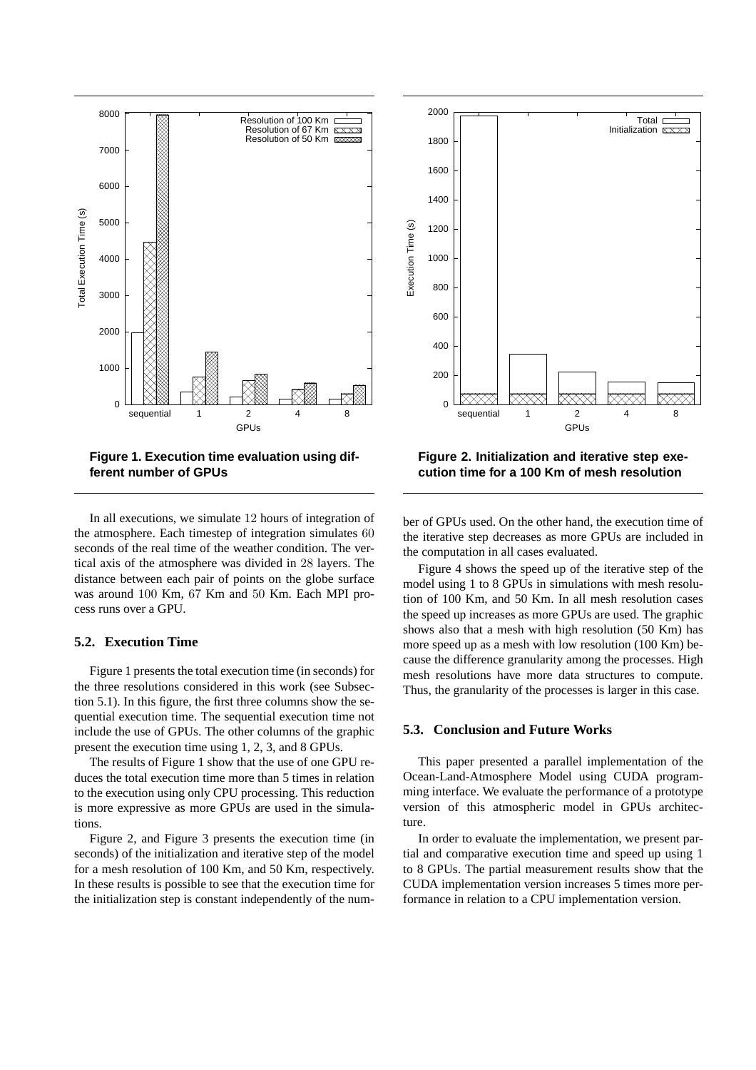

**Figure 1. Execution time evaluation using different number of GPUs**

In all executions, we simulate 12 hours of integration of the atmosphere. Each timestep of integration simulates 60 seconds of the real time of the weather condition. The vertical axis of the atmosphere was divided in 28 layers. The distance between each pair of points on the globe surface was around 100 Km, 67 Km and 50 Km. Each MPI process runs over a GPU.

#### **5.2. Execution Time**

Figure 1 presents the total execution time (in seconds) for the three resolutions considered in this work (see Subsection 5.1). In this figure, the first three columns show the sequential execution time. The sequential execution time not include the use of GPUs. The other columns of the graphic present the execution time using 1, 2, 3, and 8 GPUs.

The results of Figure 1 show that the use of one GPU reduces the total execution time more than 5 times in relation to the execution using only CPU processing. This reduction is more expressive as more GPUs are used in the simulations.

Figure 2, and Figure 3 presents the execution time (in seconds) of the initialization and iterative step of the model for a mesh resolution of 100 Km, and 50 Km, respectively. In these results is possible to see that the execution time for the initialization step is constant independently of the num-



**Figure 2. Initialization and iterative step execution time for a 100 Km of mesh resolution**

ber of GPUs used. On the other hand, the execution time of the iterative step decreases as more GPUs are included in the computation in all cases evaluated.

Figure 4 shows the speed up of the iterative step of the model using 1 to 8 GPUs in simulations with mesh resolution of 100 Km, and 50 Km. In all mesh resolution cases the speed up increases as more GPUs are used. The graphic shows also that a mesh with high resolution (50 Km) has more speed up as a mesh with low resolution (100 Km) because the difference granularity among the processes. High mesh resolutions have more data structures to compute. Thus, the granularity of the processes is larger in this case.

#### **5.3. Conclusion and Future Works**

This paper presented a parallel implementation of the Ocean-Land-Atmosphere Model using CUDA programming interface. We evaluate the performance of a prototype version of this atmospheric model in GPUs architecture.

In order to evaluate the implementation, we present partial and comparative execution time and speed up using 1 to 8 GPUs. The partial measurement results show that the CUDA implementation version increases 5 times more performance in relation to a CPU implementation version.